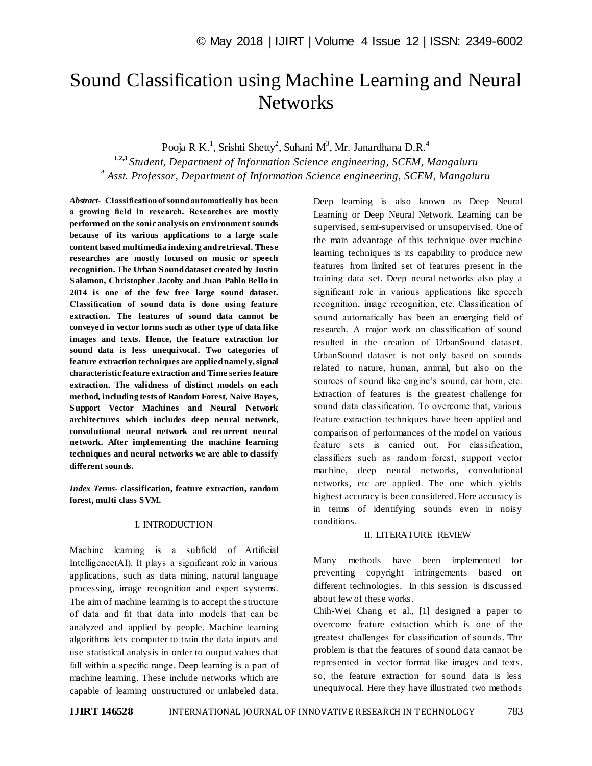# Sound Classification using Machine Learning and Neural **Networks**

Pooja R K.<sup>1</sup>, Srishti Shetty<sup>2</sup>, Suhani M<sup>3</sup>, Mr. Janardhana D.R.<sup>4</sup>

*1,2,3 Student, Department of Information Science engineering, SCEM, Mangaluru 4 Asst. Professor, Department of Information Science engineering, SCEM, Mangaluru*

*Abstract*- **Classification of sound automatically has been a growing field in research. Researches are mostly performed on the sonic analysis on environment sounds because of its various applications to a large scale content based multimedia indexing and retrieval. These researches are mostly focused on music or speech recognition. The Urban Sound dataset created by Justin Salamon, Christopher Jacoby and Juan Pablo Bello in 2014 is one of the few free large sound dataset. Classification of sound data is done using feature extraction. The features of sound data cannot be conveyed in vector forms such as other type of data like images and texts. Hence, the feature extraction for sound data is less unequivocal. Two categories of feature extraction techniques are applied namely, signal characteristic feature extraction and Time series feature extraction. The validness of distinct models on each method, including tests of Random Forest, Naive Bayes, Support Vector Machines and Neural Network architectures which includes deep neural network, convolutional neural network and recurrent neural network. After implementing the machine learning techniques and neural networks we are able to classify di**ff**erent sounds.**

*Index Terms***- classification, feature extraction, random forest, multi class SVM.**

#### I. INTRODUCTION

Machine learning is a subfield of Artificial Intelligence(AI). It plays a significant role in various applications, such as data mining, natural language processing, image recognition and expert systems. The aim of machine learning is to accept the structure of data and fit that data into models that can be analyzed and applied by people. Machine learning algorithms lets computer to train the data inputs and use statistical analysis in order to output values that fall within a specific range. Deep learning is a part of machine learning. These include networks which are capable of learning unstructured or unlabeled data. Deep learning is also known as Deep Neural Learning or Deep Neural Network. Learning can be supervised, semi-supervised or unsupervised. One of the main advantage of this technique over machine learning techniques is its capability to produce new features from limited set of features present in the training data set. Deep neural networks also play a significant role in various applications like speech recognition, image recognition, etc. Classification of sound automatically has been an emerging field of research. A major work on classification of sound resulted in the creation of UrbanSound dataset. UrbanSound dataset is not only based on sounds related to nature, human, animal, but also on the sources of sound like engine's sound, car horn, etc. Extraction of features is the greatest challenge for sound data classification. To overcome that, various feature extraction techniques have been applied and comparison of performances of the model on various feature sets is carried out. For classification, classifiers such as random forest, support vector machine, deep neural networks, convolutional networks, etc are applied. The one which yields highest accuracy is been considered. Here accuracy is in terms of identifying sounds even in noisy conditions.

# II. LITERATURE REVIEW

Many methods have been implemented for preventing copyright infringements based on different technologies. In this session is discussed about few of these works.

Chih-Wei Chang et al., [1] designed a paper to overcome feature extraction which is one of the greatest challenges for classification of sounds. The problem is that the features of sound data cannot be represented in vector format like images and texts. so, the feature extraction for sound data is less unequivocal. Here they have illustrated two methods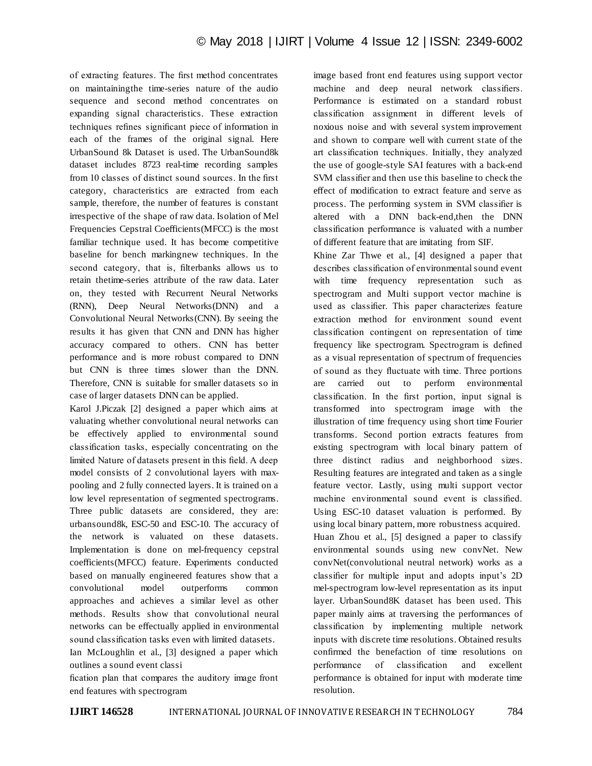of extracting features. The first method concentrates on maintainingthe time-series nature of the audio sequence and second method concentrates on expanding signal characteristics. These extraction techniques refines significant piece of information in each of the frames of the original signal. Here UrbanSound 8k Dataset is used. The UrbanSound8k dataset includes 8723 real-time recording samples from 10 classes of distinct sound sources. In the first category, characteristics are extracted from each sample, therefore, the number of features is constant irrespective of the shape of raw data. Isolation of Mel Frequencies Cepstral Coefficients(MFCC) is the most familiar technique used. It has become competitive baseline for bench markingnew techniques. In the second category, that is, filterbanks allows us to retain thetime-series attribute of the raw data. Later on, they tested with Recurrent Neural Networks (RNN), Deep Neural Networks(DNN) and a Convolutional Neural Networks(CNN). By seeing the results it has given that CNN and DNN has higher accuracy compared to others. CNN has better performance and is more robust compared to DNN but CNN is three times slower than the DNN. Therefore, CNN is suitable for smaller datasets so in case of larger datasets DNN can be applied.

Karol J.Piczak [2] designed a paper which aims at valuating whether convolutional neural networks can be effectively applied to environmental sound classification tasks, especially concentrating on the limited Nature of datasets present in this field. A deep model consists of 2 convolutional layers with maxpooling and 2 fully connected layers. It is trained on a low level representation of segmented spectrograms. Three public datasets are considered, they are: urbansound8k, ESC-50 and ESC-10. The accuracy of the network is valuated on these datasets. Implementation is done on mel-frequency cepstral coefficients(MFCC) feature. Experiments conducted based on manually engineered features show that a convolutional model outperforms common approaches and achieves a similar level as other methods. Results show that convolutional neural networks can be effectually applied in environmental sound classification tasks even with limited datasets.

Ian McLoughlin et al., [3] designed a paper which outlines a sound event classi

fication plan that compares the auditory image front end features with spectrogram

image based front end features using support vector machine and deep neural network classifiers. Performance is estimated on a standard robust classification assignment in different levels of noxious noise and with several system improvement and shown to compare well with current state of the art classification techniques. Initially, they analyzed the use of google-style SAI features with a back-end SVM classifier and then use this baseline to check the effect of modification to extract feature and serve as process. The performing system in SVM classifier is altered with a DNN back-end,then the DNN classification performance is valuated with a number of different feature that are imitating from SIF.

Khine Zar Thwe et al., [4] designed a paper that describes classification of environmental sound event with time frequency representation such as spectrogram and Multi support vector machine is used as classifier. This paper characterizes feature extraction method for environment sound event classification contingent on representation of time frequency like spectrogram. Spectrogram is defined as a visual representation of spectrum of frequencies of sound as they fluctuate with time. Three portions are carried out to perform environmental classification. In the first portion, input signal is transformed into spectrogram image with the illustration of time frequency using short time Fourier transforms. Second portion extracts features from existing spectrogram with local binary pattern of three distinct radius and neighborhood sizes. Resulting features are integrated and taken as a single feature vector. Lastly, using multi support vector machine environmental sound event is classified. Using ESC-10 dataset valuation is performed. By using local binary pattern, more robustness acquired. Huan Zhou et al., [5] designed a paper to classify environmental sounds using new convNet. New convNet(convolutional neutral network) works as a classifier for multiple input and adopts input's 2D mel-spectrogram low-level representation as its input layer. UrbanSound8K dataset has been used. This paper mainly aims at traversing the performances of classification by implementing multiple network inputs with discrete time resolutions. Obtained results confirmed the benefaction of time resolutions on performance of classification and excellent performance is obtained for input with moderate time resolution.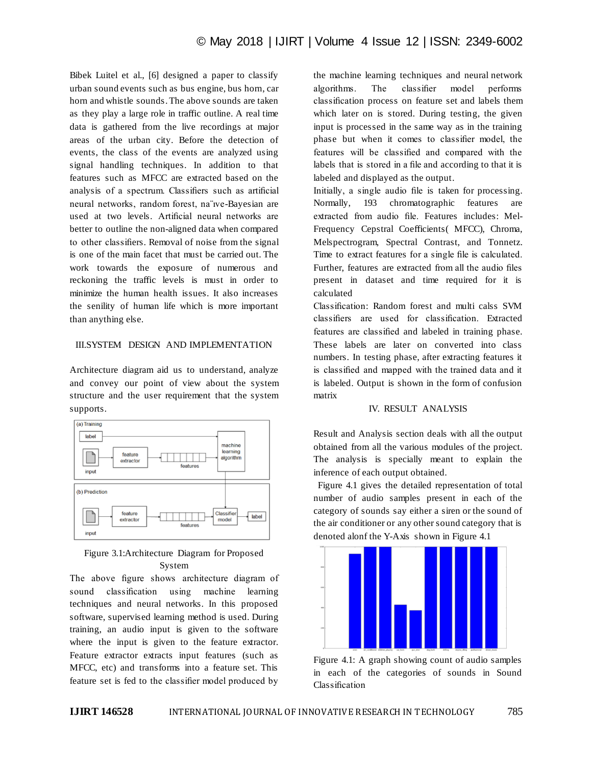Bibek Luitel et al., [6] designed a paper to classify urban sound events such as bus engine, bus horn, car horn and whistle sounds. The above sounds are taken as they play a large role in traffic outline. A real time data is gathered from the live recordings at major areas of the urban city. Before the detection of events, the class of the events are analyzed using signal handling techniques. In addition to that features such as MFCC are extracted based on the analysis of a spectrum. Classifiers such as artificial neural networks, random forest, na¨ıve-Bayesian are used at two levels. Artificial neural networks are better to outline the non-aligned data when compared to other classifiers. Removal of noise from the signal is one of the main facet that must be carried out. The work towards the exposure of numerous and reckoning the traffic levels is must in order to minimize the human health issues. It also increases the senility of human life which is more important than anything else.

# III.SYSTEM DESIGN AND IMPLEMENTATION

Architecture diagram aid us to understand, analyze and convey our point of view about the system structure and the user requirement that the system supports.



# Figure 3.1:Architecture Diagram for Proposed System

The above figure shows architecture diagram of sound classification using machine learning techniques and neural networks. In this proposed software, supervised learning method is used. During training, an audio input is given to the software where the input is given to the feature extractor. Feature extractor extracts input features (such as MFCC, etc) and transforms into a feature set. This feature set is fed to the classifier model produced by

the machine learning techniques and neural network algorithms. The classifier model performs classification process on feature set and labels them which later on is stored. During testing, the given input is processed in the same way as in the training phase but when it comes to classifier model, the features will be classified and compared with the labels that is stored in a file and according to that it is labeled and displayed as the output.

Initially, a single audio file is taken for processing. Normally, 193 chromatographic features are extracted from audio file. Features includes: Mel-Frequency Cepstral Coefficients( MFCC), Chroma, Melspectrogram, Spectral Contrast, and Tonnetz. Time to extract features for a single file is calculated. Further, features are extracted from all the audio files present in dataset and time required for it is calculated

Classification: Random forest and multi calss SVM classifiers are used for classification. Extracted features are classified and labeled in training phase. These labels are later on converted into class numbers. In testing phase, after extracting features it is classified and mapped with the trained data and it is labeled. Output is shown in the form of confusion matrix

#### IV. RESULT ANALYSIS

Result and Analysis section deals with all the output obtained from all the various modules of the project. The analysis is specially meant to explain the inference of each output obtained.

 Figure 4.1 gives the detailed representation of total number of audio samples present in each of the category of sounds say either a siren or the sound of the air conditioner or any other sound category that is denoted alonf the Y-Axis shown in Figure 4.1



Figure 4.1: A graph showing count of audio samples in each of the categories of sounds in Sound Classification